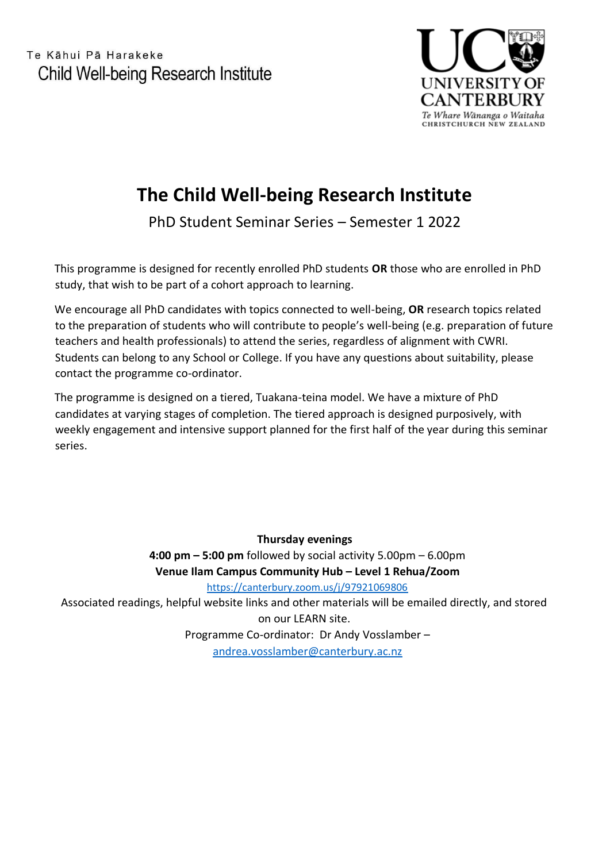Te Kāhui Pā Harakeke Child Well-being Research Institute



## **The Child Well-being Research Institute**

PhD Student Seminar Series – Semester 1 2022

This programme is designed for recently enrolled PhD students **OR** those who are enrolled in PhD study, that wish to be part of a cohort approach to learning.

We encourage all PhD candidates with topics connected to well-being, **OR** research topics related to the preparation of students who will contribute to people's well-being (e.g. preparation of future teachers and health professionals) to attend the series, regardless of alignment with CWRI. Students can belong to any School or College. If you have any questions about suitability, please contact the programme co-ordinator.

The programme is designed on a tiered, Tuakana-teina model. We have a mixture of PhD candidates at varying stages of completion. The tiered approach is designed purposively, with weekly engagement and intensive support planned for the first half of the year during this seminar series.

**Thursday evenings 4:00 pm – 5:00 pm** followed by social activity 5.00pm – 6.00pm **Venue Ilam Campus Community Hub – Level 1 Rehua/Zoom** <https://canterbury.zoom.us/j/97921069806> Associated readings, helpful website links and other materials will be emailed directly, and stored on our LEARN site. Programme Co-ordinator: Dr Andy Vosslamber –

[andrea.vosslamber@canterbury.ac.nz](mailto:andrea.vosslamber@canterbury.ac.nz)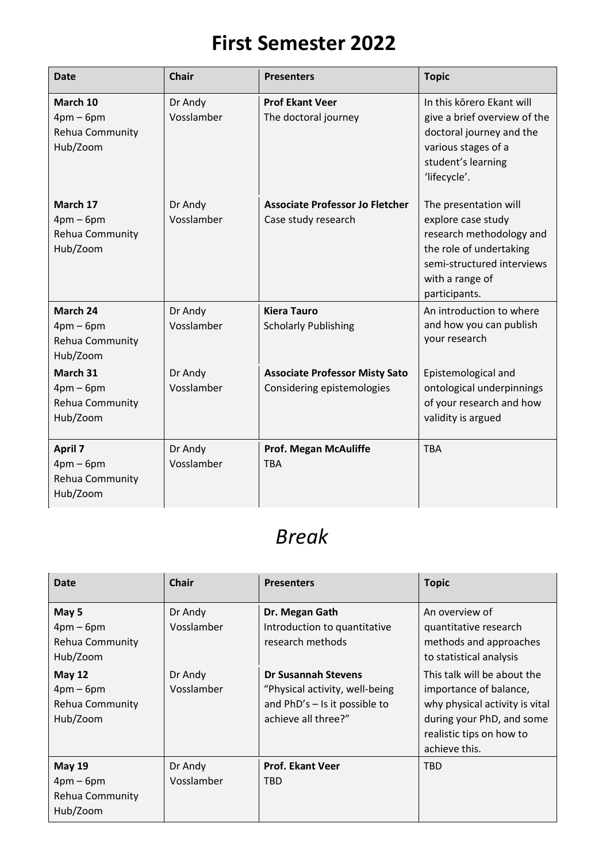## **First Semester 2022**

| <b>Date</b>                                                | <b>Chair</b>          | <b>Presenters</b>                                                   | <b>Topic</b>                                                                                                                                                         |
|------------------------------------------------------------|-----------------------|---------------------------------------------------------------------|----------------------------------------------------------------------------------------------------------------------------------------------------------------------|
| March 10<br>$4pm-6pm$<br>Rehua Community<br>Hub/Zoom       | Dr Andy<br>Vosslamber | <b>Prof Ekant Veer</b><br>The doctoral journey                      | In this korero Ekant will<br>give a brief overview of the<br>doctoral journey and the<br>various stages of a<br>student's learning<br>'lifecycle'.                   |
| March 17<br>$4pm-6pm$<br>Rehua Community<br>Hub/Zoom       | Dr Andy<br>Vosslamber | <b>Associate Professor Jo Fletcher</b><br>Case study research       | The presentation will<br>explore case study<br>research methodology and<br>the role of undertaking<br>semi-structured interviews<br>with a range of<br>participants. |
| March 24<br>$4pm-6pm$<br>Rehua Community<br>Hub/Zoom       | Dr Andy<br>Vosslamber | <b>Kiera Tauro</b><br><b>Scholarly Publishing</b>                   | An introduction to where<br>and how you can publish<br>your research                                                                                                 |
| March 31<br>$4pm-6pm$<br>Rehua Community<br>Hub/Zoom       | Dr Andy<br>Vosslamber | <b>Associate Professor Misty Sato</b><br>Considering epistemologies | Epistemological and<br>ontological underpinnings<br>of your research and how<br>validity is argued                                                                   |
| <b>April 7</b><br>$4pm-6pm$<br>Rehua Community<br>Hub/Zoom | Dr Andy<br>Vosslamber | <b>Prof. Megan McAuliffe</b><br><b>TBA</b>                          | <b>TBA</b>                                                                                                                                                           |

## *Break*

| <b>Date</b>                                                                 | <b>Chair</b>          | <b>Presenters</b>                                                                                                      | <b>Topic</b>                                                                                                                                                      |
|-----------------------------------------------------------------------------|-----------------------|------------------------------------------------------------------------------------------------------------------------|-------------------------------------------------------------------------------------------------------------------------------------------------------------------|
| May 5<br>$4pm-6pm$<br>Rehua Community<br>Hub/Zoom                           | Dr Andy<br>Vosslamber | Dr. Megan Gath<br>Introduction to quantitative<br>research methods                                                     | An overview of<br>quantitative research<br>methods and approaches<br>to statistical analysis                                                                      |
| <b>May 12</b><br>$4pm-6pm$<br>Rehua Community<br>Hub/Zoom                   | Dr Andy<br>Vosslamber | <b>Dr Susannah Stevens</b><br>"Physical activity, well-being<br>and $PhD's - Is it possible to$<br>achieve all three?" | This talk will be about the<br>importance of balance,<br>why physical activity is vital<br>during your PhD, and some<br>realistic tips on how to<br>achieve this. |
| <b>May 19</b><br>$4 \text{pm} - 6 \text{pm}$<br>Rehua Community<br>Hub/Zoom | Dr Andy<br>Vosslamber | <b>Prof. Ekant Veer</b><br><b>TBD</b>                                                                                  | <b>TBD</b>                                                                                                                                                        |